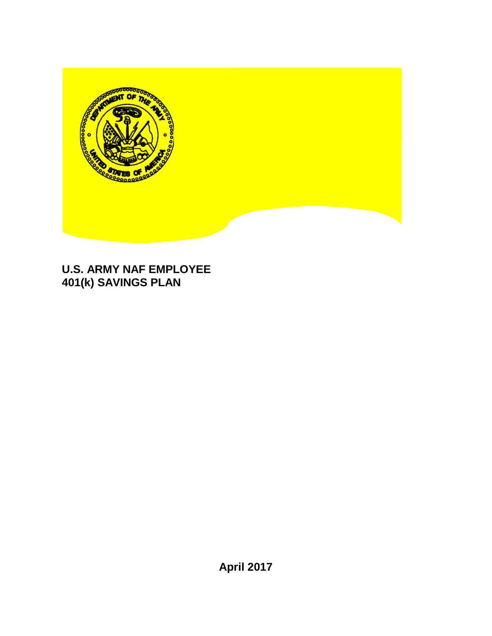

# **U.S. ARMY NAF EMPLOYEE 401(k) SAVINGS PLAN**

**April 2017**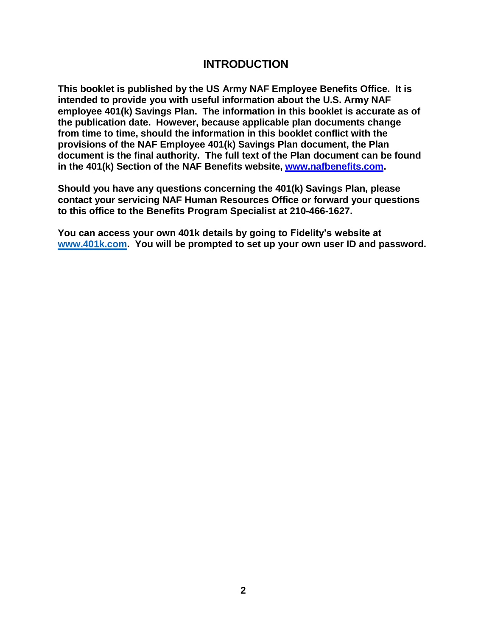#### **INTRODUCTION**

**This booklet is published by the US Army NAF Employee Benefits Office. It is intended to provide you with useful information about the U.S. Army NAF employee 401(k) Savings Plan. The information in this booklet is accurate as of the publication date. However, because applicable plan documents change from time to time, should the information in this booklet conflict with the provisions of the NAF Employee 401(k) Savings Plan document, the Plan document is the final authority. The full text of the Plan document can be found in the 401(k) Section of the NAF Benefits website, [www.nafbenefits.com.](http://www.nafbenefits.com/)**

**Should you have any questions concerning the 401(k) Savings Plan, please contact your servicing NAF Human Resources Office or forward your questions to this office to the Benefits Program Specialist at 210-466-1627.**

**You can access your own 401k details by going to Fidelity's website at [www.401k.com.](http://www.401k.com/) You will be prompted to set up your own user ID and password.**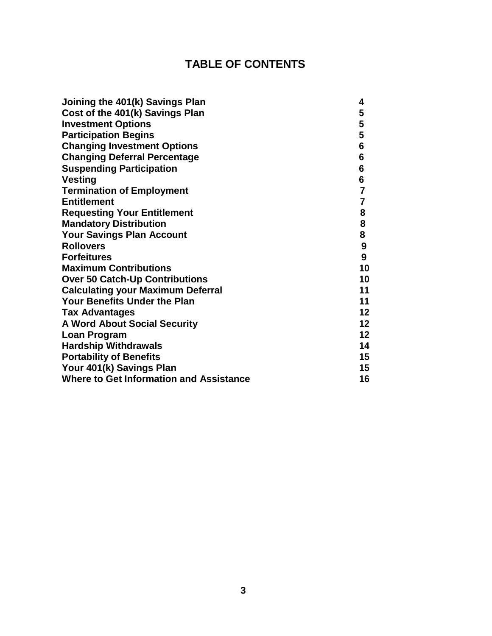# **TABLE OF CONTENTS**

| Joining the 401(k) Savings Plan                | 4                |
|------------------------------------------------|------------------|
| Cost of the 401(k) Savings Plan                | 5                |
| <b>Investment Options</b>                      | 5                |
| <b>Participation Begins</b>                    | 5                |
| <b>Changing Investment Options</b>             | 6                |
| <b>Changing Deferral Percentage</b>            | $6\phantom{a}$   |
| <b>Suspending Participation</b>                | 6                |
| <b>Vesting</b>                                 | 6                |
| <b>Termination of Employment</b>               | $\overline{7}$   |
| <b>Entitlement</b>                             | $\overline{7}$   |
| <b>Requesting Your Entitlement</b>             | 8                |
| <b>Mandatory Distribution</b>                  | 8                |
| <b>Your Savings Plan Account</b>               | 8                |
| <b>Rollovers</b>                               | 9                |
| <b>Forfeitures</b>                             | $\boldsymbol{9}$ |
| <b>Maximum Contributions</b>                   | 10               |
| <b>Over 50 Catch-Up Contributions</b>          | 10               |
| <b>Calculating your Maximum Deferral</b>       | 11               |
| <b>Your Benefits Under the Plan</b>            | 11               |
| <b>Tax Advantages</b>                          | 12               |
| <b>A Word About Social Security</b>            | 12               |
| Loan Program                                   | 12               |
| <b>Hardship Withdrawals</b>                    | 14               |
| <b>Portability of Benefits</b>                 | $15\,$           |
| Your 401(k) Savings Plan                       | 15               |
| <b>Where to Get Information and Assistance</b> | 16               |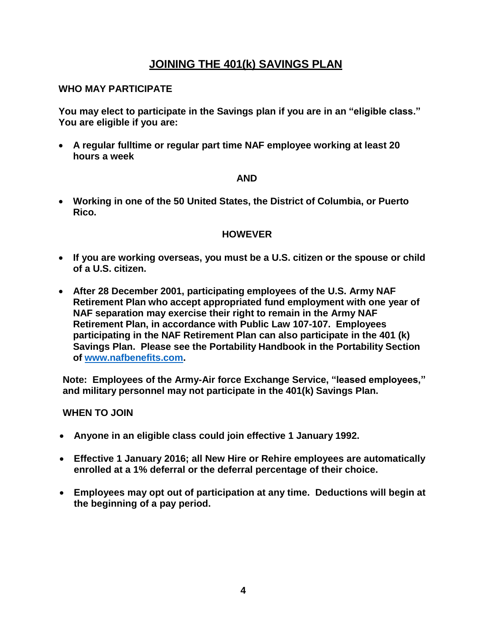# **JOINING THE 401(k) SAVINGS PLAN**

#### **WHO MAY PARTICIPATE**

**You may elect to participate in the Savings plan if you are in an "eligible class." You are eligible if you are:**

 **A regular fulltime or regular part time NAF employee working at least 20 hours a week**

#### **AND**

 **Working in one of the 50 United States, the District of Columbia, or Puerto Rico.**

#### **HOWEVER**

- **If you are working overseas, you must be a U.S. citizen or the spouse or child of a U.S. citizen.**
- **After 28 December 2001, participating employees of the U.S. Army NAF Retirement Plan who accept appropriated fund employment with one year of NAF separation may exercise their right to remain in the Army NAF Retirement Plan, in accordance with Public Law 107-107. Employees participating in the NAF Retirement Plan can also participate in the 401 (k) Savings Plan. Please see the Portability Handbook in the Portability Section of [www.nafbenefits.com.](http://www.nafbenefits.com/)**

**Note: Employees of the Army-Air force Exchange Service, "leased employees," and military personnel may not participate in the 401(k) Savings Plan.**

#### **WHEN TO JOIN**

- **Anyone in an eligible class could join effective 1 January 1992.**
- **Effective 1 January 2016; all New Hire or Rehire employees are automatically enrolled at a 1% deferral or the deferral percentage of their choice.**
- **Employees may opt out of participation at any time. Deductions will begin at the beginning of a pay period.**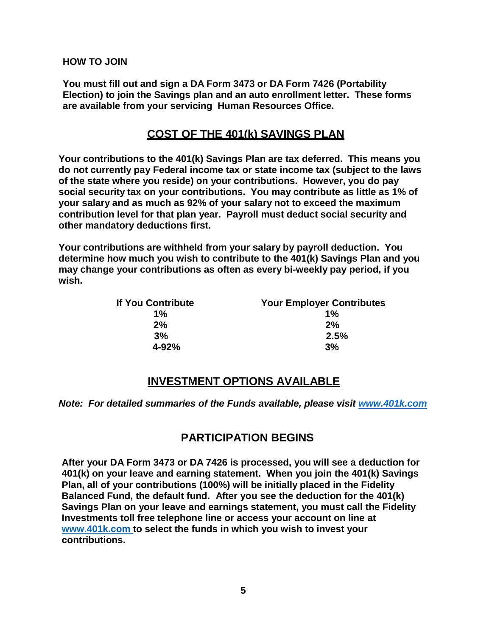**HOW TO JOIN**

**You must fill out and sign a DA Form 3473 or DA Form 7426 (Portability Election) to join the Savings plan and an auto enrollment letter. These forms are available from your servicing Human Resources Office.** 

# **COST OF THE 401(k) SAVINGS PLAN**

**Your contributions to the 401(k) Savings Plan are tax deferred. This means you do not currently pay Federal income tax or state income tax (subject to the laws of the state where you reside) on your contributions. However, you do pay social security tax on your contributions. You may contribute as little as 1% of your salary and as much as 92% of your salary not to exceed the maximum contribution level for that plan year. Payroll must deduct social security and other mandatory deductions first.**

**Your contributions are withheld from your salary by payroll deduction. You determine how much you wish to contribute to the 401(k) Savings Plan and you may change your contributions as often as every bi-weekly pay period, if you wish.**

| If You Contribute | <b>Your Employer Contributes</b> |
|-------------------|----------------------------------|
| $1\%$             | $1\%$                            |
| 2%                | 2%                               |
| 3%                | 2.5%                             |
| $4 - 92%$         | 3%                               |

## **INVESTMENT OPTIONS AVAILABLE**

*Note: For detailed summaries of the Funds available, please visit [www.401k.com](http://www.401k.com/)*

## **PARTICIPATION BEGINS**

**After your DA Form 3473 or DA 7426 is processed, you will see a deduction for 401(k) on your leave and earning statement. When you join the 401(k) Savings Plan, all of your contributions (100%) will be initially placed in the Fidelity Balanced Fund, the default fund. After you see the deduction for the 401(k) Savings Plan on your leave and earnings statement, you must call the Fidelity Investments toll free telephone line or access your account on line at www.401k.com to select the funds in which you wish to invest your contributions.**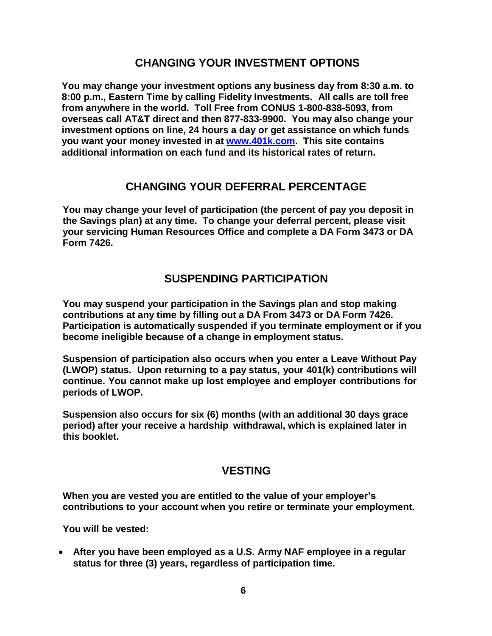# **CHANGING YOUR INVESTMENT OPTIONS**

**You may change your investment options any business day from 8:30 a.m. to 8:00 p.m., Eastern Time by calling Fidelity Investments. All calls are toll free from anywhere in the world. Toll Free from CONUS 1-800-838-5093, from overseas call AT&T direct and then 877-833-9900. You may also change your investment options on line, 24 hours a day or get assistance on which funds you want your money invested in at www.401k.com. This site contains additional information on each fund and its historical rates of return.**

#### **CHANGING YOUR DEFERRAL PERCENTAGE**

**You may change your level of participation (the percent of pay you deposit in the Savings plan) at any time. To change your deferral percent, please visit your servicing Human Resources Office and complete a DA Form 3473 or DA Form 7426.**

## **SUSPENDING PARTICIPATION**

**You may suspend your participation in the Savings plan and stop making contributions at any time by filling out a DA From 3473 or DA Form 7426. Participation is automatically suspended if you terminate employment or if you become ineligible because of a change in employment status.**

**Suspension of participation also occurs when you enter a Leave Without Pay (LWOP) status. Upon returning to a pay status, your 401(k) contributions will continue. You cannot make up lost employee and employer contributions for periods of LWOP.**

**Suspension also occurs for six (6) months (with an additional 30 days grace period) after your receive a hardship withdrawal, which is explained later in this booklet.**

#### **VESTING**

**When you are vested you are entitled to the value of your employer's contributions to your account when you retire or terminate your employment.**

**You will be vested:**

 **After you have been employed as a U.S. Army NAF employee in a regular status for three (3) years, regardless of participation time.**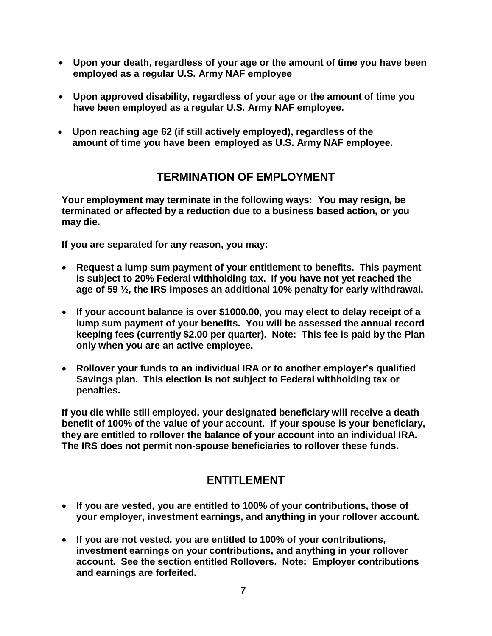- **Upon your death, regardless of your age or the amount of time you have been employed as a regular U.S. Army NAF employee**
- **Upon approved disability, regardless of your age or the amount of time you have been employed as a regular U.S. Army NAF employee.**
- **Upon reaching age 62 (if still actively employed), regardless of the amount of time you have been employed as U.S. Army NAF employee.**

# **TERMINATION OF EMPLOYMENT**

**Your employment may terminate in the following ways: You may resign, be terminated or affected by a reduction due to a business based action, or you may die.**

**If you are separated for any reason, you may:**

- **Request a lump sum payment of your entitlement to benefits. This payment is subject to 20% Federal withholding tax. If you have not yet reached the age of 59 ½, the IRS imposes an additional 10% penalty for early withdrawal.**
- **If your account balance is over \$1000.00, you may elect to delay receipt of a lump sum payment of your benefits. You will be assessed the annual record keeping fees (currently \$2.00 per quarter). Note: This fee is paid by the Plan only when you are an active employee.**
- **Rollover your funds to an individual IRA or to another employer's qualified Savings plan. This election is not subject to Federal withholding tax or penalties.**

**If you die while still employed, your designated beneficiary will receive a death benefit of 100% of the value of your account. If your spouse is your beneficiary, they are entitled to rollover the balance of your account into an individual IRA. The IRS does not permit non-spouse beneficiaries to rollover these funds.**

# **ENTITLEMENT**

- **If you are vested, you are entitled to 100% of your contributions, those of your employer, investment earnings, and anything in your rollover account.**
- **If you are not vested, you are entitled to 100% of your contributions, investment earnings on your contributions, and anything in your rollover account. See the section entitled Rollovers. Note: Employer contributions and earnings are forfeited.**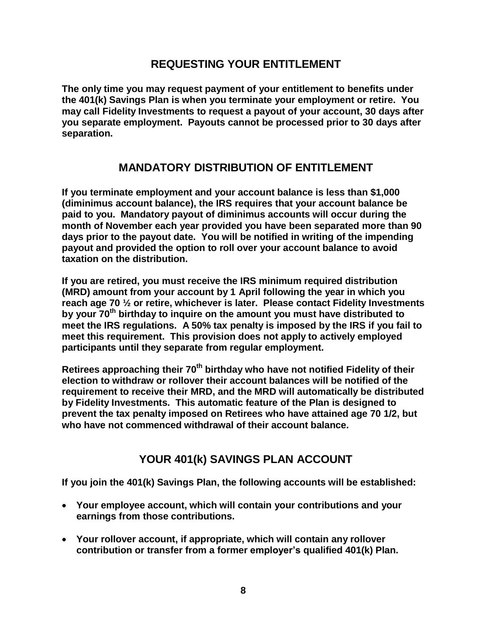# **REQUESTING YOUR ENTITLEMENT**

**The only time you may request payment of your entitlement to benefits under the 401(k) Savings Plan is when you terminate your employment or retire. You may call Fidelity Investments to request a payout of your account, 30 days after you separate employment. Payouts cannot be processed prior to 30 days after separation.**

# **MANDATORY DISTRIBUTION OF ENTITLEMENT**

**If you terminate employment and your account balance is less than \$1,000 (diminimus account balance), the IRS requires that your account balance be paid to you. Mandatory payout of diminimus accounts will occur during the month of November each year provided you have been separated more than 90 days prior to the payout date. You will be notified in writing of the impending payout and provided the option to roll over your account balance to avoid taxation on the distribution.**

**If you are retired, you must receive the IRS minimum required distribution (MRD) amount from your account by 1 April following the year in which you reach age 70 ½ or retire, whichever is later. Please contact Fidelity Investments by your 70th birthday to inquire on the amount you must have distributed to meet the IRS regulations. A 50% tax penalty is imposed by the IRS if you fail to meet this requirement. This provision does not apply to actively employed participants until they separate from regular employment.**

**Retirees approaching their 70th birthday who have not notified Fidelity of their election to withdraw or rollover their account balances will be notified of the requirement to receive their MRD, and the MRD will automatically be distributed by Fidelity Investments. This automatic feature of the Plan is designed to prevent the tax penalty imposed on Retirees who have attained age 70 1/2, but who have not commenced withdrawal of their account balance.**

# **YOUR 401(k) SAVINGS PLAN ACCOUNT**

**If you join the 401(k) Savings Plan, the following accounts will be established:**

- **Your employee account, which will contain your contributions and your earnings from those contributions.**
- **Your rollover account, if appropriate, which will contain any rollover contribution or transfer from a former employer's qualified 401(k) Plan.**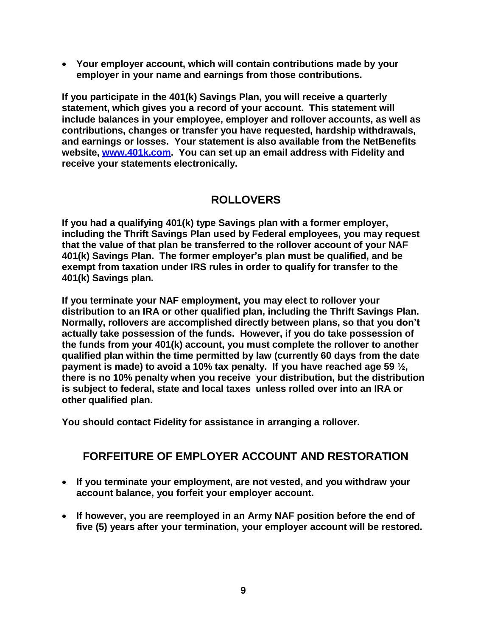**Your employer account, which will contain contributions made by your employer in your name and earnings from those contributions.**

**If you participate in the 401(k) Savings Plan, you will receive a quarterly statement, which gives you a record of your account. This statement will include balances in your employee, employer and rollover accounts, as well as contributions, changes or transfer you have requested, hardship withdrawals, and earnings or losses. Your statement is also available from the NetBenefits website, [www.401k.com.](http://www.401k.com/) You can set up an email address with Fidelity and receive your statements electronically.**

# **ROLLOVERS**

**If you had a qualifying 401(k) type Savings plan with a former employer, including the Thrift Savings Plan used by Federal employees, you may request that the value of that plan be transferred to the rollover account of your NAF 401(k) Savings Plan. The former employer's plan must be qualified, and be exempt from taxation under IRS rules in order to qualify for transfer to the 401(k) Savings plan.**

**If you terminate your NAF employment, you may elect to rollover your distribution to an IRA or other qualified plan, including the Thrift Savings Plan. Normally, rollovers are accomplished directly between plans, so that you don't actually take possession of the funds. However, if you do take possession of the funds from your 401(k) account, you must complete the rollover to another qualified plan within the time permitted by law (currently 60 days from the date payment is made) to avoid a 10% tax penalty. If you have reached age 59 ½, there is no 10% penalty when you receive your distribution, but the distribution is subject to federal, state and local taxes unless rolled over into an IRA or other qualified plan.**

**You should contact Fidelity for assistance in arranging a rollover.**

# **FORFEITURE OF EMPLOYER ACCOUNT AND RESTORATION**

- **If you terminate your employment, are not vested, and you withdraw your account balance, you forfeit your employer account.**
- **If however, you are reemployed in an Army NAF position before the end of five (5) years after your termination, your employer account will be restored.**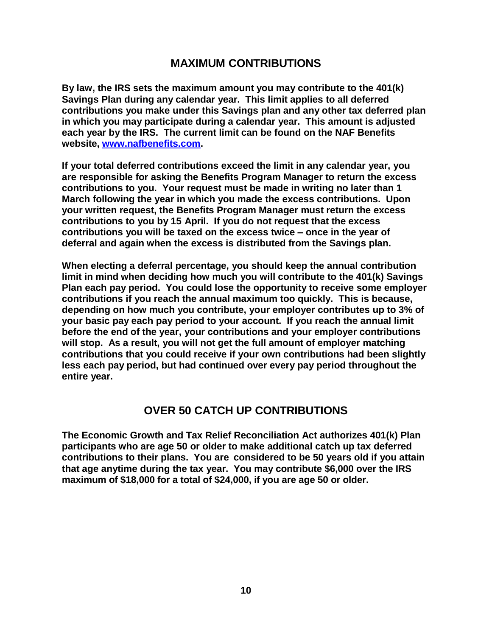#### **MAXIMUM CONTRIBUTIONS**

**By law, the IRS sets the maximum amount you may contribute to the 401(k) Savings Plan during any calendar year. This limit applies to all deferred contributions you make under this Savings plan and any other tax deferred plan in which you may participate during a calendar year. This amount is adjusted each year by the IRS. The current limit can be found on the NAF Benefits website, [www.nafbenefits.com.](http://www.nafbenefits.com/)**

**If your total deferred contributions exceed the limit in any calendar year, you are responsible for asking the Benefits Program Manager to return the excess contributions to you. Your request must be made in writing no later than 1 March following the year in which you made the excess contributions. Upon your written request, the Benefits Program Manager must return the excess contributions to you by 15 April. If you do not request that the excess contributions you will be taxed on the excess twice – once in the year of deferral and again when the excess is distributed from the Savings plan.**

**When electing a deferral percentage, you should keep the annual contribution limit in mind when deciding how much you will contribute to the 401(k) Savings Plan each pay period. You could lose the opportunity to receive some employer contributions if you reach the annual maximum too quickly. This is because, depending on how much you contribute, your employer contributes up to 3% of your basic pay each pay period to your account. If you reach the annual limit before the end of the year, your contributions and your employer contributions will stop. As a result, you will not get the full amount of employer matching contributions that you could receive if your own contributions had been slightly less each pay period, but had continued over every pay period throughout the entire year.**

## **OVER 50 CATCH UP CONTRIBUTIONS**

**The Economic Growth and Tax Relief Reconciliation Act authorizes 401(k) Plan participants who are age 50 or older to make additional catch up tax deferred contributions to their plans. You are considered to be 50 years old if you attain that age anytime during the tax year. You may contribute \$6,000 over the IRS maximum of \$18,000 for a total of \$24,000, if you are age 50 or older.**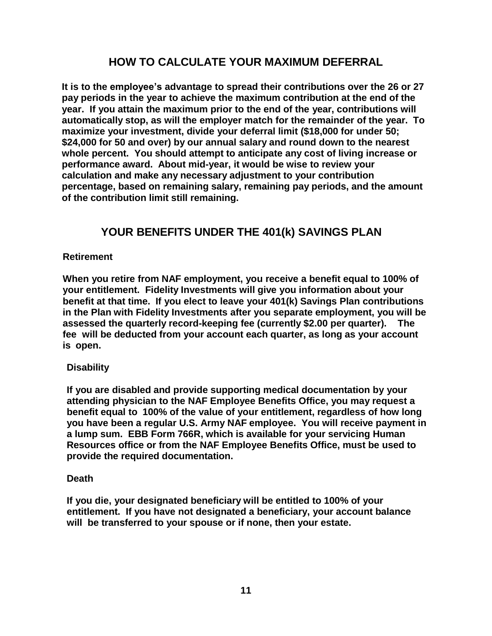# **HOW TO CALCULATE YOUR MAXIMUM DEFERRAL**

**It is to the employee's advantage to spread their contributions over the 26 or 27 pay periods in the year to achieve the maximum contribution at the end of the year. If you attain the maximum prior to the end of the year, contributions will automatically stop, as will the employer match for the remainder of the year. To maximize your investment, divide your deferral limit (\$18,000 for under 50; \$24,000 for 50 and over) by our annual salary and round down to the nearest whole percent. You should attempt to anticipate any cost of living increase or performance award. About mid-year, it would be wise to review your calculation and make any necessary adjustment to your contribution percentage, based on remaining salary, remaining pay periods, and the amount of the contribution limit still remaining.**

# **YOUR BENEFITS UNDER THE 401(k) SAVINGS PLAN**

#### **Retirement**

**When you retire from NAF employment, you receive a benefit equal to 100% of your entitlement. Fidelity Investments will give you information about your benefit at that time. If you elect to leave your 401(k) Savings Plan contributions in the Plan with Fidelity Investments after you separate employment, you will be assessed the quarterly record-keeping fee (currently \$2.00 per quarter). The fee will be deducted from your account each quarter, as long as your account is open.**

#### **Disability**

**If you are disabled and provide supporting medical documentation by your attending physician to the NAF Employee Benefits Office, you may request a benefit equal to 100% of the value of your entitlement, regardless of how long you have been a regular U.S. Army NAF employee. You will receive payment in a lump sum. EBB Form 766R, which is available for your servicing Human Resources office or from the NAF Employee Benefits Office, must be used to provide the required documentation.**

#### **Death**

**If you die, your designated beneficiary will be entitled to 100% of your entitlement. If you have not designated a beneficiary, your account balance will be transferred to your spouse or if none, then your estate.**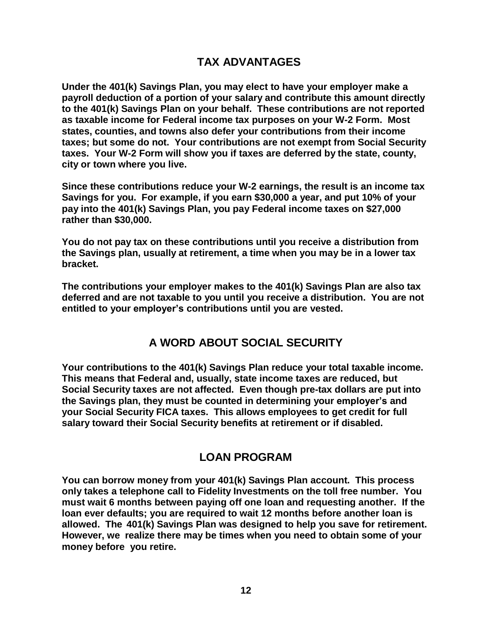# **TAX ADVANTAGES**

**Under the 401(k) Savings Plan, you may elect to have your employer make a payroll deduction of a portion of your salary and contribute this amount directly to the 401(k) Savings Plan on your behalf. These contributions are not reported as taxable income for Federal income tax purposes on your W-2 Form. Most states, counties, and towns also defer your contributions from their income taxes; but some do not. Your contributions are not exempt from Social Security taxes. Your W-2 Form will show you if taxes are deferred by the state, county, city or town where you live.**

**Since these contributions reduce your W-2 earnings, the result is an income tax Savings for you. For example, if you earn \$30,000 a year, and put 10% of your pay into the 401(k) Savings Plan, you pay Federal income taxes on \$27,000 rather than \$30,000.**

**You do not pay tax on these contributions until you receive a distribution from the Savings plan, usually at retirement, a time when you may be in a lower tax bracket.**

**The contributions your employer makes to the 401(k) Savings Plan are also tax deferred and are not taxable to you until you receive a distribution. You are not entitled to your employer's contributions until you are vested.**

## **A WORD ABOUT SOCIAL SECURITY**

**Your contributions to the 401(k) Savings Plan reduce your total taxable income. This means that Federal and, usually, state income taxes are reduced, but Social Security taxes are not affected. Even though pre-tax dollars are put into the Savings plan, they must be counted in determining your employer's and your Social Security FICA taxes. This allows employees to get credit for full salary toward their Social Security benefits at retirement or if disabled.**

#### **LOAN PROGRAM**

**You can borrow money from your 401(k) Savings Plan account. This process only takes a telephone call to Fidelity Investments on the toll free number. You must wait 6 months between paying off one loan and requesting another. If the loan ever defaults; you are required to wait 12 months before another loan is allowed. The 401(k) Savings Plan was designed to help you save for retirement. However, we realize there may be times when you need to obtain some of your money before you retire.**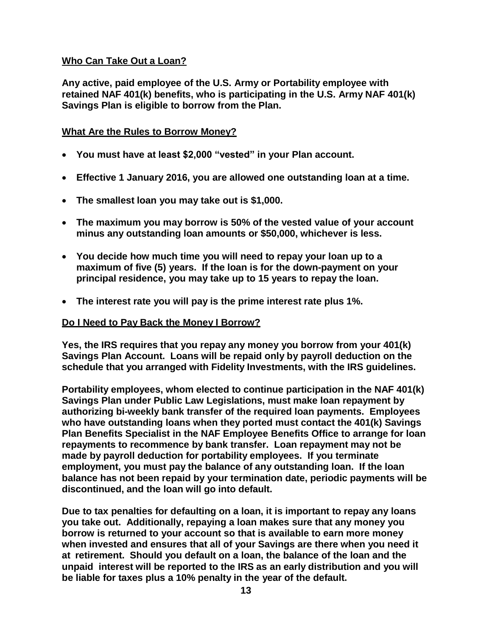#### **Who Can Take Out a Loan?**

**Any active, paid employee of the U.S. Army or Portability employee with retained NAF 401(k) benefits, who is participating in the U.S. Army NAF 401(k) Savings Plan is eligible to borrow from the Plan.**

#### **What Are the Rules to Borrow Money?**

- **You must have at least \$2,000 "vested" in your Plan account.**
- **Effective 1 January 2016, you are allowed one outstanding loan at a time.**
- **The smallest loan you may take out is \$1,000.**
- **The maximum you may borrow is 50% of the vested value of your account minus any outstanding loan amounts or \$50,000, whichever is less.**
- **You decide how much time you will need to repay your loan up to a maximum of five (5) years. If the loan is for the down-payment on your principal residence, you may take up to 15 years to repay the loan.**
- **The interest rate you will pay is the prime interest rate plus 1%.**

#### **Do I Need to Pay Back the Money I Borrow?**

**Yes, the IRS requires that you repay any money you borrow from your 401(k) Savings Plan Account. Loans will be repaid only by payroll deduction on the schedule that you arranged with Fidelity Investments, with the IRS guidelines.**

**Portability employees, whom elected to continue participation in the NAF 401(k) Savings Plan under Public Law Legislations, must make loan repayment by authorizing bi-weekly bank transfer of the required loan payments. Employees who have outstanding loans when they ported must contact the 401(k) Savings Plan Benefits Specialist in the NAF Employee Benefits Office to arrange for loan repayments to recommence by bank transfer. Loan repayment may not be made by payroll deduction for portability employees. If you terminate employment, you must pay the balance of any outstanding loan. If the loan balance has not been repaid by your termination date, periodic payments will be discontinued, and the loan will go into default.**

**Due to tax penalties for defaulting on a loan, it is important to repay any loans you take out. Additionally, repaying a loan makes sure that any money you borrow is returned to your account so that is available to earn more money when invested and ensures that all of your Savings are there when you need it at retirement. Should you default on a loan, the balance of the loan and the unpaid interest will be reported to the IRS as an early distribution and you will be liable for taxes plus a 10% penalty in the year of the default.**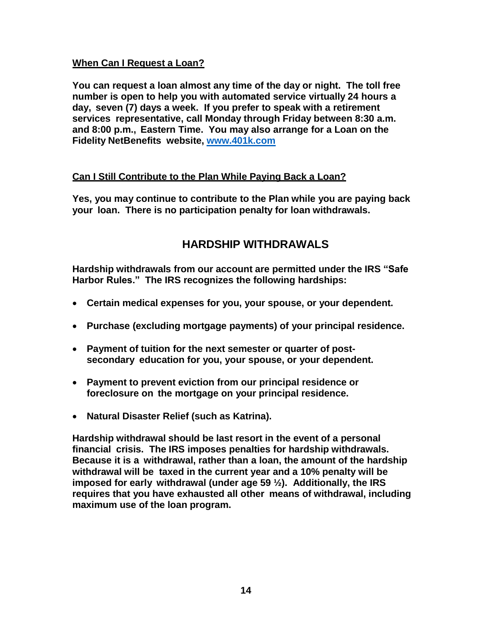#### **When Can I Request a Loan?**

**You can request a loan almost any time of the day or night. The toll free number is open to help you with automated service virtually 24 hours a day, seven (7) days a week. If you prefer to speak with a retirement services representative, call Monday through Friday between 8:30 a.m. and 8:00 p.m., Eastern Time. You may also arrange for a Loan on the Fidelity NetBenefits website, [www.401k.com](http://www.401k.com/)**

#### **Can I Still Contribute to the Plan While Paying Back a Loan?**

**Yes, you may continue to contribute to the Plan while you are paying back your loan. There is no participation penalty for loan withdrawals.**

# **HARDSHIP WITHDRAWALS**

**Hardship withdrawals from our account are permitted under the IRS "Safe Harbor Rules." The IRS recognizes the following hardships:**

- **Certain medical expenses for you, your spouse, or your dependent.**
- **Purchase (excluding mortgage payments) of your principal residence.**
- **Payment of tuition for the next semester or quarter of postsecondary education for you, your spouse, or your dependent.**
- **Payment to prevent eviction from our principal residence or foreclosure on the mortgage on your principal residence.**
- **Natural Disaster Relief (such as Katrina).**

**Hardship withdrawal should be last resort in the event of a personal financial crisis. The IRS imposes penalties for hardship withdrawals. Because it is a withdrawal, rather than a loan, the amount of the hardship withdrawal will be taxed in the current year and a 10% penalty will be imposed for early withdrawal (under age 59 ½). Additionally, the IRS requires that you have exhausted all other means of withdrawal, including maximum use of the loan program.**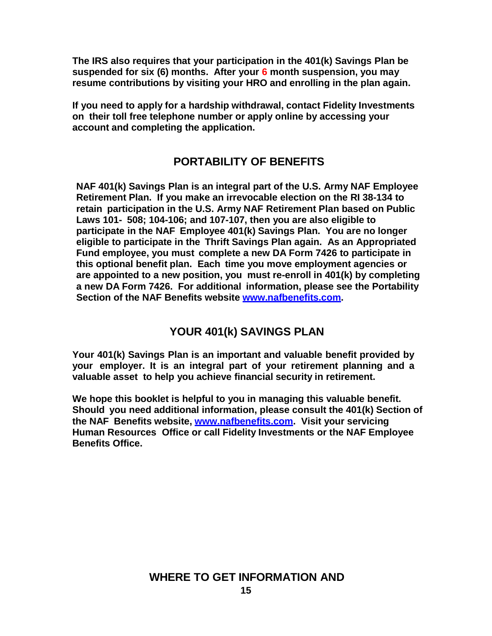**The IRS also requires that your participation in the 401(k) Savings Plan be suspended for six (6) months. After your 6 month suspension, you may resume contributions by visiting your HRO and enrolling in the plan again.** 

**If you need to apply for a hardship withdrawal, contact Fidelity Investments on their toll free telephone number or apply online by accessing your account and completing the application.** 

# **PORTABILITY OF BENEFITS**

**NAF 401(k) Savings Plan is an integral part of the U.S. Army NAF Employee Retirement Plan. If you make an irrevocable election on the RI 38-134 to retain participation in the U.S. Army NAF Retirement Plan based on Public Laws 101- 508; 104-106; and 107-107, then you are also eligible to participate in the NAF Employee 401(k) Savings Plan. You are no longer eligible to participate in the Thrift Savings Plan again. As an Appropriated Fund employee, you must complete a new DA Form 7426 to participate in this optional benefit plan. Each time you move employment agencies or are appointed to a new position, you must re-enroll in 401(k) by completing a new DA Form 7426. For additional information, please see the Portability Section of the NAF Benefits website [www.nafbenefits.com.](http://www.nafbenefits.com/)**

# **YOUR 401(k) SAVINGS PLAN**

**Your 401(k) Savings Plan is an important and valuable benefit provided by your employer. It is an integral part of your retirement planning and a valuable asset to help you achieve financial security in retirement.**

**We hope this booklet is helpful to you in managing this valuable benefit. Should you need additional information, please consult the 401(k) Section of the NAF Benefits website, [www.nafbenefits.com.](http://www.nafbenefits.com/) Visit your servicing Human Resources Office or call Fidelity Investments or the NAF Employee Benefits Office.**